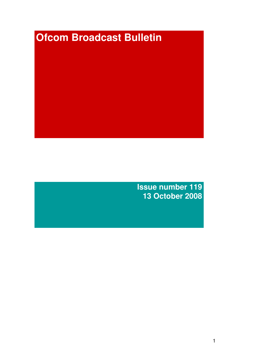# **Ofcom Broadcast Bulletin**

**Issue number 119 13 October 2008**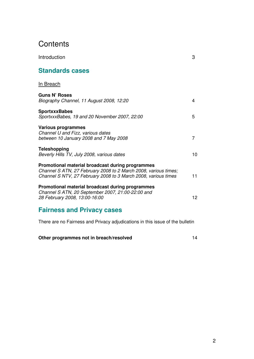# **Contents**

| <b>Standards cases</b>                                                                                                                                                                |    |
|---------------------------------------------------------------------------------------------------------------------------------------------------------------------------------------|----|
| In Breach                                                                                                                                                                             |    |
| <b>Guns N' Roses</b><br>Biography Channel, 11 August 2008, 12:20                                                                                                                      | 4  |
| <b>SportxxxBabes</b><br>SportxxxBabes, 19 and 20 November 2007, 22:00                                                                                                                 | 5  |
| <b>Various programmes</b><br>Channel U and Fizz, various dates<br>between 10 January 2008 and 7 May 2008                                                                              | 7  |
| <b>Teleshopping</b><br>Beverly Hills TV, July 2008, various dates                                                                                                                     | 10 |
| Promotional material broadcast during programmes<br>Channel S ATN, 27 February 2008 to 2 March 2008, various times;<br>Channel S NTV, 27 February 2008 to 3 March 2008, various times | 11 |
| Promotional material broadcast during programmes<br>Channel S ATN, 20 September 2007, 21:00-22:00 and<br>28 February 2008, 13:00-16:00                                                | 12 |
| <b>Fairness and Privacy cases</b>                                                                                                                                                     |    |

Introduction 3

There are no Fairness and Privacy adjudications in this issue of the bulletin

**Other programmes not in breach/resolved** 14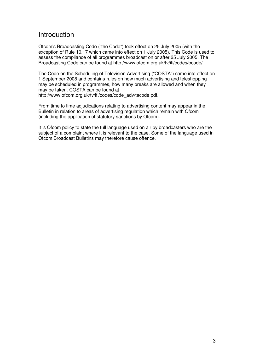# **Introduction**

Ofcom's Broadcasting Code ("the Code") took effect on 25 July 2005 (with the exception of Rule 10.17 which came into effect on 1 July 2005). This Code is used to assess the compliance of all programmes broadcast on or after 25 July 2005. The Broadcasting Code can be found at http://www.ofcom.org.uk/tv/ifi/codes/bcode/

The Code on the Scheduling of Television Advertising ("COSTA") came into effect on 1 September 2008 and contains rules on how much advertising and teleshopping may be scheduled in programmes, how many breaks are allowed and when they may be taken. COSTA can be found at http://www.ofcom.org.uk/tv/ifi/codes/code\_adv/tacode.pdf.

From time to time adjudications relating to advertising content may appear in the Bulletin in relation to areas of advertising regulation which remain with Ofcom

(including the application of statutory sanctions by Ofcom).

It is Ofcom policy to state the full language used on air by broadcasters who are the subject of a complaint where it is relevant to the case. Some of the language used in Ofcom Broadcast Bulletins may therefore cause offence.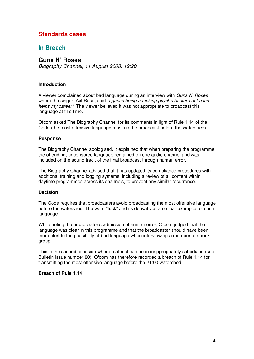# **Standards cases**

# **In Breach**

# **Guns N' Roses**

*Biography Channel, 11 August 2008, 12:20*

### **Introduction**

A viewer complained about bad language during an interview with *Guns N' Roses* where the singer, Axl Rose, said *"I guess being a fucking psycho bastard nut case helps my career"*. The viewer believed it was not appropriate to broadcast this language at this time.

Ofcom asked The Biography Channel for its comments in light of Rule 1.14 of the Code (the most offensive language must not be broadcast before the watershed).

### **Response**

The Biography Channel apologised. It explained that when preparing the programme, the offending, uncensored language remained on one audio channel and was included on the sound track of the final broadcast through human error.

The Biography Channel advised that it has updated its compliance procedures with additional training and logging systems, including a review of all content within daytime programmes across its channels, to prevent any similar recurrence.

### **Decision**

The Code requires that broadcasters avoid broadcasting the most offensive language before the watershed. The word "fuck" and its derivatives are clear examples of such language.

While noting the broadcaster's admission of human error, Ofcom judged that the language was clear in this programme and that the broadcaster should have been more alert to the possibility of bad language when interviewing a member of a rock group.

This is the second occasion where material has been inappropriately scheduled (see Bulletin issue number 80). Ofcom has therefore recorded a breach of Rule 1.14 for transmitting the most offensive language before the 21:00 watershed.

### **Breach of Rule 1.14**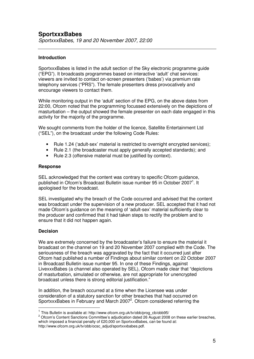# **Introduction**

SportxxxBabes is listed in the adult section of the Sky electronic programme guide ("EPG"). It broadcasts programmes based on interactive 'adult' chat services: viewers are invited to contact on-screen presenters ('babes') via premium rate telephony services ("PRS"). The female presenters dress provocatively and encourage viewers to contact them.

While monitoring output in the 'adult' section of the EPG, on the above dates from 22:00, Ofcom noted that the programming focussed extensively on the depictions of masturbation – the output showed the female presenter on each date engaged in this activity for the majority of the programme.

We sought comments from the holder of the licence, Satellite Entertainment Ltd ("SEL"), on the broadcast under the following Code Rules:

- Frace 1.24 ('adult-sex' material is restricted to overnight encrypted services);
- Rule 2.1 (the broadcaster must apply generally accepted standards); and
- Rule 2.3 (offensive material must be justified by context).

### **Response**

SEL acknowledged that the content was contrary to specific Ofcom guidance, published in Ofcom's Broadcast Bulletin issue number 95 in October 2007<sup>1</sup>. It apologised for the broadcast.

SEL investigated why the breach of the Code occurred and advised that the content was broadcast under the supervision of a new producer. SEL accepted that it had not made Ofcom's guidance on the meaning of 'adult-sex' material sufficiently clear to the producer and confirmed that it had taken steps to rectify the problem and to ensure that it did not happen again.

# **Decision**

We are extremely concerned by the broadcaster's failure to ensure the material it broadcast on the channel on 19 and 20 November 2007 complied with the Code. The seriousness of the breach was aggravated by the fact that it occurred just after Ofcom had published a number of Findings about similar content on 22 October 2007 in Broadcast Bulletin issue number 95. In one of these Findings, against LivexxxBabes (a channel also operated by SEL), Ofcom made clear that "depictions of masturbation, simulated or otherwise, are not appropriate for unencrypted broadcast unless there is strong editorial justification."

In addition, the breach occurred at a time when the Licensee was under consideration of a statutory sanction for other breaches that had occurred on SportxxxBabes in February and March 2007<sup>2</sup>. Ofcom considered referring the

<sup>1</sup> This Bulletin is available at: http://www.ofcom.org.uk/tv/obb/prog\_cb/obb95/

<sup>&</sup>lt;sup>2</sup> Ofcom's Content Sanctions Committee's adjudication dated 26 August 2008 on these earlier breaches, which imposed a financial penalty of £20,000 on SportxxxBabes, can be found at: http://www.ofcom.org.uk/tv/obb/ocsc\_adjud/sportxxxbabes.pdf.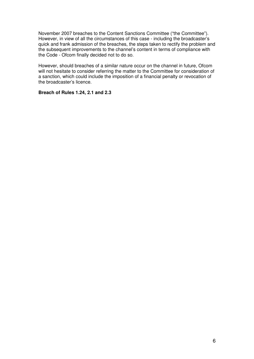November 2007 breaches to the Content Sanctions Committee ("the Committee"). However, in view of all the circumstances of this case - including the broadcaster's quick and frank admission of the breaches, the steps taken to rectify the problem and the subsequent improvements to the channel's content in terms of compliance with the Code - Ofcom finally decided not to do so.

However, should breaches of a similar nature occur on the channel in future, Ofcom will not hesitate to consider referring the matter to the Committee for consideration of a sanction, which could include the imposition of a financial penalty or revocation of the broadcaster's licence.

# **Breach of Rules 1.24, 2.1 and 2.3**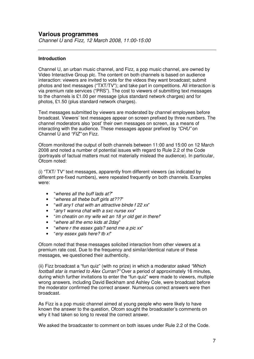# **Introduction**

Channel U, an urban music channel, and Fizz, a pop music channel, are owned by Video Interactive Group plc. The content on both channels is based on audience interaction: viewers are invited to vote for the videos they want broadcast; submit photos and text messages ("TXT/TV"); and take part in competitions. All interaction is via premium rate services ("PRS"). The cost to viewers of submitting text messages to the channels is £1.00 per message (plus standard network charges) and for photos, £1.50 (plus standard network charges).

Text messages submitted by viewers are moderated by channel employees before broadcast. Viewers' text messages appear on screen prefixed by three numbers. The channel moderators also 'post' their own messages on screen, as a means of interacting with the audience. These messages appear prefixed by *"CHU"* on Channel U and *"FIZ"* on Fizz.

Ofcom monitored the output of both channels between 11:00 and 15:00 on 12 March 2008 and noted a number of potential issues with regard to Rule 2.2 of the Code (portrayals of factual matters must not materially mislead the audience). In particular, Ofcom noted:

(i) "TXT/ TV" text messages, apparently from different viewers (as indicated by different pre-fixed numbers), were repeated frequently on both channels. Examples were:

- "*wheres all the buff lads at?*"
- "*wheres all thebe buff girls at???*"
- "*will any1 chat with an attractive blnde f 22 xx*"
- "*any1 wanna chat with a sxc nurse xxx*"
- "*im cheatin on my wife wit an 18 yr old get in there!*"
- "*where all the emo kids at 2day*"
- "*where r the essex gals? send me a pic xx*"
- "*eny essex gals here? tb x!*"

Ofcom noted that these messages solicited interaction from other viewers at a premium rate cost. Due to the frequency and similar/identical nature of these messages, we questioned their authenticity.

(ii) Fizz broadcast a "fun quiz" (with no prize) in which a moderator asked *"Which football star is married to Alex Curran?"* Over a period of approximately 16 minutes, during which further invitations to enter the "fun quiz" were made to viewers, multiple wrong answers, including David Beckham and Ashley Cole, were broadcast before the moderator confirmed the correct answer. Numerous correct answers were then broadcast.

As Fizz is a pop music channel aimed at young people who were likely to have known the answer to the question, Ofcom sought the broadcaster's comments on why it had taken so long to reveal the correct answer.

We asked the broadcaster to comment on both issues under Rule 2.2 of the Code.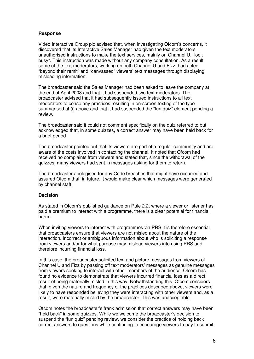# **Response**

Video Interactive Group plc advised that, when investigating Ofcom's concerns, it discovered that its Interactive Sales Manager had given the text moderators unauthorised instructions to make the text services, mainly on Channel U, "look busy". This instruction was made without any company consultation. As a result, some of the text moderators, working on both Channel U and Fizz, had acted "beyond their remit" and "canvassed" viewers' text messages through displaying misleading information.

The broadcaster said the Sales Manager had been asked to leave the company at the end of April 2008 and that it had suspended two text moderators. The broadcaster advised that it had subsequently issued instructions to all text moderators to cease any practices resulting in on-screen texting of the type summarised at (i) above and that it had suspended the "fun quiz" element pending a review.

The broadcaster said it could not comment specifically on the quiz referred to but acknowledged that, in some quizzes, a correct answer may have been held back for a brief period.

The broadcaster pointed out that its viewers are part of a regular community and are aware of the costs involved in contacting the channel. It noted that Ofcom had received no complaints from viewers and stated that, since the withdrawal of the quizzes, many viewers had sent in messages asking for them to return.

The broadcaster apologised for any Code breaches that might have occurred and assured Ofcom that, in future, it would make clear which messages were generated by channel staff.

# **Decision**

As stated in Ofcom's published guidance on Rule 2.2, where a viewer or listener has paid a premium to interact with a programme, there is a clear potential for financial harm.

When inviting viewers to interact with programmes via PRS it is therefore essential that broadcasters ensure that viewers are not misled about the nature of the interaction. Incorrect or ambiguous information about who is soliciting a response from viewers and/or for what purpose may mislead viewers into using PRS and therefore incurring financial loss.

In this case, the broadcaster solicited text and picture messages from viewers of Channel U and Fizz by passing off text moderators' messages as genuine messages from viewers seeking to interact with other members of the audience. Ofcom has found no evidence to demonstrate that viewers incurred financial loss as a direct result of being materially misled in this way. Notwithstanding this, Ofcom considers that, given the nature and frequency of the practices described above, viewers were likely to have responded believing they were interacting with other viewers and, as a result, were materially misled by the broadcaster. This was unacceptable.

Ofcom notes the broadcaster's frank admission that correct answers may have been "held back" in some quizzes. While we welcome the broadcaster's decision to suspend the "fun quiz" pending review, we consider the practice of holding back correct answers to questions while continuing to encourage viewers to pay to submit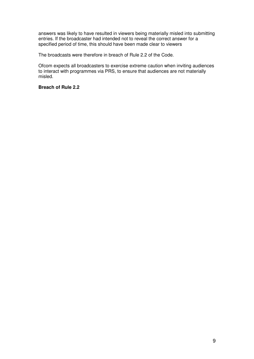answers was likely to have resulted in viewers being materially misled into submitting entries. If the broadcaster had intended not to reveal the correct answer for a specified period of time, this should have been made clear to viewers

The broadcasts were therefore in breach of Rule 2.2 of the Code.

Ofcom expects all broadcasters to exercise extreme caution when inviting audiences to interact with programmes via PRS, to ensure that audiences are not materially misled.

# **Breach of Rule 2.2**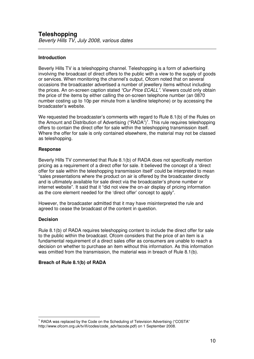# **Teleshopping**

*Beverly Hills TV, July 2008, various dates*

# **Introduction**

Beverly Hills TV is a teleshopping channel. Teleshopping is a form of advertising involving the broadcast of direct offers to the public with a view to the supply of goods or services. When monitoring the channel's output, Ofcom noted that on several occasions the broadcaster advertised a number of jewellery items without including the prices. An on-screen caption stated *"Our Price £CALL"*. Viewers could only obtain the price of the items by either calling the on-screen telephone number (an 0870 number costing up to 10p per minute from a landline telephone) or by accessing the broadcaster's website.

We requested the broadcaster's comments with regard to Rule 8.1(b) of the Rules on the Amount and Distribution of Advertising ("RADA")<sup>1</sup>. This rule requires teleshopping offers to contain the direct offer for sale within the teleshopping transmission itself. Where the offer for sale is only contained elsewhere, the material may not be classed as teleshopping.

# **Response**

Beverly Hills TV commented that Rule 8.1(b) of RADA does not specifically mention pricing as a requirement of a direct offer for sale. It believed the concept of a 'direct offer for sale within the teleshopping transmission itself' could be interpreted to mean "sales presentations where the product on air is offered by the broadcaster directly and is ultimately available for sale direct via the broadcaster's phone number or internet website". It said that it "did not view the on-air display of pricing information as the core element needed for the 'direct offer' concept to apply".

However, the broadcaster admitted that it may have misinterpreted the rule and agreed to cease the broadcast of the content in question.

# **Decision**

Rule 8.1(b) of RADA requires teleshopping content to include the direct offer for sale to the public within the broadcast. Ofcom considers that the price of an item is a fundamental requirement of a direct sales offer as consumers are unable to reach a decision on whether to purchase an item without this information. As this information was omitted from the transmission, the material was in breach of Rule 8.1(b).

# **Breach of Rule 8.1(b) of RADA**

 $<sup>1</sup>$  RADA was replaced by the Code on the Scheduling of Television Advertising ("COSTA"</sup> http://www.ofcom.org.uk/tv/ifi/codes/code\_adv/tacode.pdf) on 1 September 2008.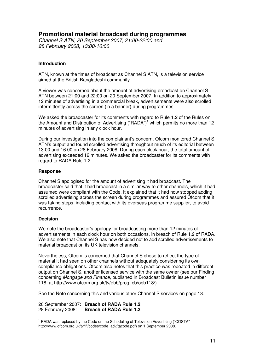# **Promotional material broadcast during programmes**

*Channel S ATN, 20 September 2007, 21:00-22:00 and 28 February 2008, 13:00-16:00*

# **Introduction**

ATN, known at the times of broadcast as Channel S ATN, is a television service aimed at the British Bangladeshi community.

A viewer was concerned about the amount of advertising broadcast on Channel S ATN between 21:00 and 22:00 on 20 September 2007. In addition to approximately 12 minutes of advertising in a commercial break, advertisements were also scrolled intermittently across the screen (in a banner) during programmes.

We asked the broadcaster for its comments with regard to Rule 1.2 of the Rules on the Amount and Distribution of Advertising ("RADA")<sup>1</sup> which permits no more than 12 minutes of advertising in any clock hour.

During our investigation into the complainant's concern, Ofcom monitored Channel S ATN's output and found scrolled advertising throughout much of its editorial between 13:00 and 16:00 on 28 February 2008. During each clock hour, the total amount of advertising exceeded 12 minutes. We asked the broadcaster for its comments with regard to RADA Rule 1.2.

### **Response**

Channel S apologised for the amount of advertising it had broadcast. The broadcaster said that it had broadcast in a similar way to other channels, which it had assumed were compliant with the Code. It explained that it had now stopped adding scrolled advertising across the screen during programmes and assured Ofcom that it was taking steps, including contact with its overseas programme supplier, to avoid recurrence.

# **Decision**

We note the broadcaster's apology for broadcasting more than 12 minutes of advertisements in each clock hour on both occasions, in breach of Rule 1.2 of RADA. We also note that Channel S has now decided not to add scrolled advertisements to material broadcast on its UK television channels.

Nevertheless, Ofcom is concerned that Channel S chose to reflect the type of material it had seen on other channels without adequately considering its own compliance obligations. Ofcom also notes that this practice was repeated in different output on Channel S, another licensed service with the same owner (see our Finding concerning *Mortgage and Finance*, published in Broadcast Bulletin issue number 118, at http://www.ofcom.org.uk/tv/obb/prog\_cb/obb118/).

See the Note concerning this and various other Channel S services on page 13.

20 September 2007: **Breach of RADA Rule 1.2** 28 February 2008: **Breach of RADA Rule 1.2**

 $1$  RADA was replaced by the Code on the Scheduling of Television Advertising ("COSTA" http://www.ofcom.org.uk/tv/ifi/codes/code\_adv/tacode.pdf) on 1 September 2008.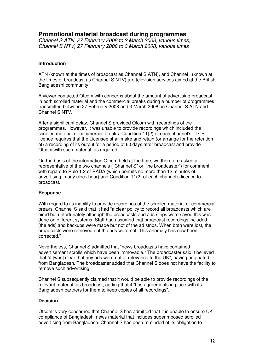# **Promotional material broadcast during programmes**

*Channel S ATN, 27 February 2008 to 2 March 2008, various times; Channel S NTV, 27 February 2008 to 3 March 2008, various times*

# **Introduction**

ATN (known at the times of broadcast as Channel S ATN), and Channel I (known at the times of broadcast as Channel S NTV) are television services aimed at the British Bangladeshi community.

A viewer contacted Ofcom with concerns about the amount of advertising broadcast in both scrolled material and the commercial breaks during a number of programmes transmitted between 27 February 2008 and 3 March 2008 on Channel S ATN and Channel S NTV.

After a significant delay, Channel S provided Ofcom with recordings of the programmes. However, it was unable to provide recordings which included the scrolled material or commercial breaks. Condition 11(2) of each channel's TLCS licence requires that the Licensee shall make and retain (or arrange for the retention of) a recording of its output for a period of 60 days after broadcast and provide Ofcom with such material, as required.

On the basis of the information Ofcom held at the time, we therefore asked a representative of the two channels ("Channel S" or "the broadcaster") for comment with regard to Rule 1.2 of RADA (which permits no more than 12 minutes of advertising in any clock hour) and Condition 11(2) of each channel's licence to broadcast.

# **Response**

With regard to its inability to provide recordings of the scrolled material or commercial breaks, Channel S said that it had "a clear policy to record all broadcasts which are aired but unfortunately although the broadcasts and ads strips were saved this was done on different systems. Staff had assumed that broadcast recordings included [the ads] and backups were made but not of the ad strips. When both were lost, the broadcasts were retrieved but the ads were not. This anomaly has now been corrected."

Nevertheless, Channel S admitted that "news broadcasts have contained advertisement scrolls which have been immovable." The broadcaster said it believed that "it [was] clear that any ads were not of relevance to the UK", having originated from Bangladesh. The broadcaster added that Channel S does not have the facility to remove such advertising.

Channel S subsequently claimed that it would be able to provide recordings of the relevant material, as broadcast, adding that it "has agreements in place with its Bangladesh partners for them to keep copies of all recordings".

# **Decision**

Ofcom is very concerned that Channel S has admitted that it is unable to ensure UK compliance of Bangladeshi news material that includes superimposed scrolled advertising from Bangladesh. Channel S has been reminded of its obligation to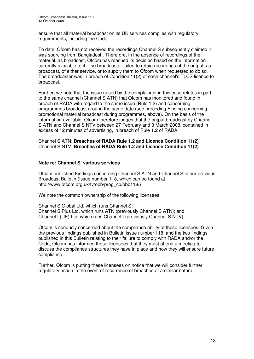ensure that all material broadcast on its UK services complies with regulatory requirements, including the Code.

To date, Ofcom has not received the recordings Channel S subsequently claimed it was sourcing from Bangladesh. Therefore, in the absence of recordings of the material, as broadcast, Ofcom has reached its decision based on the information currently available to it. The broadcaster failed to retain recordings of the output, as broadcast, of either service, or to supply them to Ofcom when requested to do so. The broadcaster was in breach of Condition 11(2) of each channel's TLCS licence to broadcast.

Further, we note that the issue raised by the complainant in this case relates in part to the same channel (Channel S ATN) that Ofcom has monitored and found in breach of RADA with regard to the same issue (Rule 1.2) and concerning programmes broadcast around the same date (see preceding Finding concerning promotional material broadcast during programmes, above). On the basis of the information available, Ofcom therefore judges that the output broadcast by Channel S ATN and Channel S NTV between 27 February and 3 March 2008, contained in excess of 12 minutes of advertising, in breach of Rule 1.2 of RADA.

Channel S ATN: **Breaches of RADA Rule 1.2 and Licence Condition 11(2)** Channel S NTV: **Breaches of RADA Rule 1.2 and Licence Condition 11(2)**

# **Note re: Channel S' various services**

Ofcom published Findings concerning Channel S ATN and Channel S in our previous Broadcast Bulletin (Issue number 118, which can be found at http://www.ofcom.org.uk/tv/obb/prog\_cb/obb118/)

We note the common ownership of the following licensees:

Channel S Global Ltd, which runs Channel S; Channel S Plus Ltd, which runs ATN (previously Channel S ATN); and Channel I (UK) Ltd, which runs Channel I (previously Channel S NTV).

Ofcom is seriously concerned about the compliance ability of these licensees. Given the previous findings published in Bulletin issue number 118, and the two findings published in this Bulletin relating to their failure to comply with RADA and/or the Code, Ofcom has informed these licensees that they must attend a meeting to discuss the compliance structures they have in place and how they will ensure future compliance.

Further, Ofcom is putting these licensees on notice that we will consider further regulatory action in the event of recurrence of breaches of a similar nature.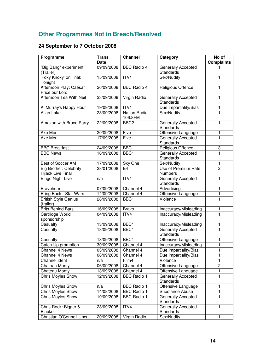# **Other Programmes Not in Breach/Resolved**

# **24 September to 7 October 2008**

| Programme                                          | <b>Trans</b> | <b>Channel</b>                 | Category                                      | No of             |
|----------------------------------------------------|--------------|--------------------------------|-----------------------------------------------|-------------------|
|                                                    | Date         |                                |                                               | <b>Complaints</b> |
| "Big Bang" experiment<br>(Trailer)                 | 09/09/2008   | <b>BBC Radio 4</b>             | <b>Generally Accepted</b><br><b>Standards</b> |                   |
| 'Foxy Knoxy' on Trial:<br>Tonight                  | 15/09/2008   | ITV1                           | Sex/Nudity                                    | 1                 |
| Afternoon Play: Caesar<br>Price our Lord           | 26/09/2008   | <b>BBC Radio 4</b>             | <b>Religious Offence</b>                      | 1                 |
| Afternoon Tea With Neil                            | 23/09/2008   | Virgin Radio                   | Generally Accepted<br>Standards               | 1                 |
| Al Murray's Happy Hour                             | 19/09/2008   | ITVI                           | Due Impartiality/Bias                         | 1                 |
| <b>Allan Lake</b>                                  | 23/09/2008   | <b>Nation Radio</b><br>106.8FM | Sex/Nudity                                    | 1                 |
| Amazon with Bruce Parry                            | 22/09/2008   | BBC <sub>2</sub>               | Generally Accepted<br>Standards               | 1                 |
| Axe Men                                            | 20/09/2008   | Five                           | Offensive Language                            | 1                 |
| Axe Men                                            | 17/09/2008   | Five                           | Generally Accepted<br>Standards               | 1                 |
| <b>BBC Breakfast</b>                               | 24/09/2008   | BBC1                           | Religious Offence                             | 3                 |
| <b>BBC News</b>                                    | 16/09/2008   | BBC <sub>1</sub>               | <b>Generally Accepted</b><br><b>Standards</b> | $\blacksquare$    |
| Best of Soccer AM                                  | 17/09/2008   | Sky One                        | Sex/Nudity                                    | $\mathbf{1}$      |
| <b>Big Brother: Celebrity</b><br>Hijack Live Final | 28/01/2008   | E <sub>4</sub>                 | Use of Premium Rate<br><b>Numbers</b>         | $\overline{2}$    |
| <b>Bingo Night Live</b>                            | n/a          | ITVI                           | Generally Accepted<br>Standards               | 1                 |
| <b>Braveheart</b>                                  | 07/09/2008   | Channel 4                      | Advertising                                   | 1                 |
| Bring Back - Star Wars                             | 14/09/2008   | Channel 4                      | Offensive Language                            | 1                 |
| <b>British Style Genius</b><br>(trailer)           | 28/09/2008   | BBC1                           | Violence                                      | 1                 |
| <b>Brits Behind Bars</b>                           | 16/09/2008   | <b>Bravo</b>                   | Inaccuracy/Misleading                         | 1                 |
| Cartridge World<br>sponsorship                     | 04/09/2008   | ITV4                           | Inaccuracy/Misleading                         | 1                 |
| Casualty                                           | 13/09/2008   | BBC1                           | Inaccuracy/Misleading                         | 1                 |
| Casualty                                           | 13/09/2008   | BBC1                           | Generally Accepted<br>Standards               | 1                 |
| Casualty                                           | 13/09/2008   | BBC1                           | Offensive Language                            | 1                 |
| Catch-Up promotion                                 | 30/09/2008   | Channel 4                      | Inaccuracy/Misleading                         | 1                 |
| Channel 4 News                                     | 03/09/2008   | Channel 4                      | Due Impartiality/Bias                         | 1                 |
| Channel 4 News                                     | 08/09/2008   | Channel 4                      | Due Impartiality/Bias                         | 1                 |
| Channel ident                                      | n/a          | Film4                          | Violence                                      | 1                 |
| Chateau Monty                                      | 06/09/2008   | Channel 4                      | Offensive Language                            | $\overline{2}$    |
| Chateau Monty                                      | 13/09/2008   | Channel 4                      | Offensive Language                            | 1                 |
| Chris Moyles Show                                  | 12/09/2008   | <b>BBC Radio 1</b>             | Generally Accepted<br><b>Standards</b>        | 1                 |
| Chris Moyles Show                                  | n/a          | <b>BBC Radio 1</b>             | Offensive Language                            | 1                 |
| <b>Chris Moyles Show</b>                           | 14/08/2008   | <b>BBC Radio 1</b>             | Substance Abuse                               | 1                 |
| Chris Moyles Show                                  | 10/09/2008   | <b>BBC Radio 1</b>             | Generally Accepted<br>Standards               | 1                 |
| Chris Rock: Bigger &<br>Blacker                    | 28/09/2008   | ITV4                           | Generally Accepted<br>Standards               | 1                 |
| Christian O'Connell Uncut                          | 20/09/2008   | Virgin Radio                   | Sex/Nudity                                    | 1                 |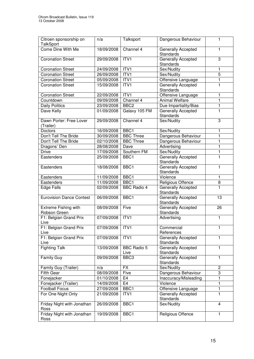| Citroen sponsorship on                      | n/a        | Talksport                  | Dangerous Behaviour                           | 1              |
|---------------------------------------------|------------|----------------------------|-----------------------------------------------|----------------|
| <b>TalkSport</b>                            |            |                            |                                               |                |
| Come Dine With Me                           | 18/09/2008 | Channel 4                  | Generally Accepted<br><b>Standards</b>        | 1              |
| <b>Coronation Street</b>                    | 29/09/2008 | ITVI                       | <b>Generally Accepted</b><br><b>Standards</b> | 3              |
| <b>Coronation Street</b>                    | 24/09/2008 | ITV1                       | Sex/Nudity                                    | 1              |
| Coronation Street                           | 26/09/2008 | ITV1                       | Sex/Nudity                                    | $\overline{5}$ |
| <b>Coronation Street</b>                    | 05/09/2008 | ITV1                       | Offensive Language                            | 1              |
| <b>Coronation Street</b>                    | 15/09/2008 | ITV1                       | Generally Accepted<br><b>Standards</b>        | 1              |
| <b>Coronation Street</b>                    | 22/09/2008 | ITV1                       | Offensive Language                            | 1              |
| Countdown                                   | 09/09/2008 | Channel 4                  | <b>Animal Welfare</b>                         | $\mathbf{1}$   |
| <b>Daily Politics</b>                       | 23/09/2008 | BBC <sub>2</sub>           | Due Impartiality/Bias                         | 1              |
| Dave Kelly                                  | 01/09/2008 | Galaxy 105 FM              | Generally Accepted<br><b>Standards</b>        | 1              |
| Dawn Porter: Free Lover<br>(Trailer)        | 29/09/2008 | Channel 4                  | Sex/Nudity                                    | 3              |
| Doctors                                     | 16/09/2008 | BBC <sub>1</sub>           | Sex/Nudity                                    | 1              |
| Don't Tell The Bride                        | 30/09/2008 | <b>BBC Three</b>           | Dangerous Behaviour                           | 1              |
| Don't Tell The Bride                        | 02/10/2008 | <b>BBC Three</b>           | Dangerous Behaviour                           | 1              |
| Dragons' Den                                | 28/08/2008 | Dave                       | Advertising                                   | 1              |
| <b>Drive</b>                                | 17/09/2008 | Southern FM                | Sex/Nudity                                    | 1              |
| Eastenders                                  | 25/09/2008 | BBC <sub>1</sub>           | <b>Generally Accepted</b><br>Standards        | 1              |
| Eastenders                                  | 18/08/2008 | BBC <sub>1</sub>           | Generally Accepted<br><b>Standards</b>        | 1              |
| Eastenders                                  | 11/09/2008 | BBC <sub>1</sub>           | Violence                                      | 1              |
| Eastenders                                  | 11/09/2008 | BBC <sub>1</sub>           | Religious Offence                             | 8              |
| <b>Edge Falls</b>                           | 02/09/2008 | <b>BBC</b> Radio 4         | Generally Accepted<br><b>Standards</b>        | 1              |
| <b>Eurovision Dance Contest</b>             | 06/09/2008 | BBC <sub>1</sub>           | Generally Accepted<br><b>Standards</b>        | 13             |
| <b>Extreme Fishing with</b><br>Robson Green | 08/09/2008 | Five                       | Generally Accepted<br><b>Standards</b>        | 26             |
| F1: Belgian Grand Prix<br>Live              | 07/09/2008 | ITV1                       | Advertising                                   | 1              |
| F1: Belgian Grand Prix<br>Live              | 07/09/2008 | ITV1                       | Commercial<br>References                      | 1              |
| F1: Belgian Grand Prix<br>Live              | 07/09/2008 | ITV1                       | Generally Accepted<br>Standards               | 1              |
| <b>Fighting Talk</b>                        | 13/09/2008 | <b>BBC Radio 5</b><br>Live | Generally Accepted<br>Standards               | 1              |
| <b>Family Guy</b>                           | 09/09/2008 | BBC3                       | Generally Accepted<br>Standards               | 1              |
| Family Guy (Trailer)                        | n/a        | $\overline{FX}$            | Sex/Nudity                                    | $\overline{2}$ |
| <b>Fifth Gear</b>                           | 08/09/2008 | Five                       | Dangerous Behaviour                           | $\overline{3}$ |
| Fonejacker                                  | 01/10/2008 | E4                         | Inaccuracy/Misleading                         | 1              |
| Fonejacker (Trailer)                        | 14/09/2008 | E <sub>4</sub>             | Violence                                      | 1              |
| <b>Football Focus</b>                       | 27/09/2008 | BBC1                       | Offensive Language                            | 1              |
| For One Night Only                          | 21/09/2008 | ITV1                       | Generally Accepted<br>Standards               | $\mathbf{1}$   |
| Friday Night with Jonathan<br>Ross          | 26/09/2008 | BBC1                       | Sex/Nudity                                    | 4              |
| Friday Night with Jonathan<br>Ross          | 19/09/2008 | BBC1                       | Religious Offence                             | 1              |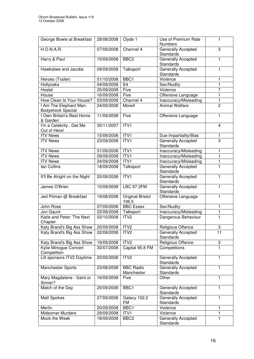| George Bowie at Breakfast                          | 28/08/2008              | Clyde 1                          | Use of Premium Rate                    | 1              |
|----------------------------------------------------|-------------------------|----------------------------------|----------------------------------------|----------------|
|                                                    |                         |                                  | <b>Numbers</b>                         |                |
| <b>H.O.N.A.R.</b>                                  | 07/09/2008              | Channel 4                        | Generally Accepted<br>Standards        | 3              |
| Harry & Paul                                       | 15/09/2008              | BBC <sub>2</sub>                 | Generally Accepted<br><b>Standards</b> | 1              |
| Hawksbee and Jacobs                                | 09/09/2008              | Talksport                        | Generally Accepted<br><b>Standards</b> | 1              |
| Heroes (Trailer)                                   | $\frac{1}{01/1}$ 0/2008 | BBC <sub>1</sub>                 | Violence                               | 1              |
| Hollyoaks                                          | 04/09/2008              | E4                               | Sex/Nudity                             | 1              |
| Hostel                                             | 25/09/2008              | Five                             | Violence                               | 7              |
| House                                              | 16/09/2008              | Five                             | Offensive Language                     | 1              |
| How Clean Is Your House?                           | 03/09/2008              | Channel 4                        | Inaccuracy/Misleading                  | 1              |
| I Am The Elephant Man:<br><b>Bodyshock Special</b> | 24/09/2008              | More4                            | <b>Animal Welfare</b>                  | $\overline{2}$ |
| I Own Britain's Best Home<br>& Garden              | 11/09/2008              | Five                             | Offensive Language                     | 1              |
| I'm a CelebrityGet Me<br>Out of Here!              | 30/11/2007              | ITV1                             |                                        | 4              |
| <b>ITV News</b>                                    | 15/09/2008              | ITV1                             | Due Impartiality/Bias                  | 1              |
| <b>ITV News</b>                                    | 23/09/2008              | ITV1                             | Generally Accepted                     | 3              |
|                                                    |                         |                                  | <b>Standards</b>                       |                |
| <b>ITV News</b>                                    | 01/09/2008              | ITV1                             | Inaccuracy/Misleading                  | 1              |
| <b>ITV News</b>                                    | 09/09/2008              | ITV1                             | Inaccuracy/Misleading                  | 1              |
| <b>ITV News</b>                                    | 24/09/2008              | ITV1                             | Inaccuracy/Misleading                  | 1              |
| lan Collins                                        | 18/09/2008              | Talksport                        | Generally Accepted<br><b>Standards</b> | 1              |
| It'll Be Alright on the Night                      | 20/09/2008              | ITV1                             | Generally Accepted<br><b>Standards</b> | 1              |
| James O'Brien                                      | 10/09/2008              | <b>LBC 97.3FM</b>                | Generally Accepted<br>Standards        | 1              |
| Jed Pitman @ Breakfast                             | 19/08/2008              | <b>Original Bristol</b><br>106.5 | Offensive Language                     | 1              |
| John Rose                                          | 07/09/2008              | <b>BBC Essex</b>                 | Sex/Nudity                             | 1              |
| Jon Gaunt                                          | 22/08/2008              | Talksport                        | Inaccuracy/Misleading                  | 1              |
| Katie and Peter: The Next<br>Chapter               | 02/10/2008              | ITV <sub>2</sub>                 | Dangerous Behaviour                    | 1              |
| Katy Brand's Big Ass Show                          | 20/09/2008              | ITV2                             | Religious Offence                      | З              |
| Katy Brand's Big Ass Show                          | 02/09/2008              | ITV <sub>2</sub>                 | Generally Accepted<br>Standards        | 11             |
| Katy Brand's Big Ass Show                          | 19/09/2008              | ITV <sub>2</sub>                 | Religious Offence                      | $\overline{c}$ |
| Kylie Minogue Concert                              | 30/07/2008              | Capital 95.8 FM                  | Competitions                           | 1              |
| Competition                                        |                         |                                  |                                        |                |
| Lilt sponsors ITV2 Daytime                         | 20/09/2008              | ITV <sub>2</sub>                 | Generally Accepted<br>Standards        | 1              |
| Manchester Sports                                  | 23/08/2008              | <b>BBC Radio</b><br>Manchester   | Generally Accepted<br>Standards        | 1              |
| Mary Magdalene - Saint or<br>Sinner?               | 16/09/2008              | Five                             | Other                                  | 1              |
| Match of the Day                                   | 20/09/2008              | BBC1                             | Generally Accepted<br><b>Standards</b> | 1              |
| Matt Spokes                                        | 27/09/2008              | Galaxy 102.2<br>FM               | Generally Accepted<br><b>Standards</b> | 1              |
| Merlin                                             | 20/09/2008              | BBC1                             | Violence                               | 1              |
| Midsomer Murders                                   | 29/09/2008              | ITV1                             | Violence                               | 1              |
| Mock the Week                                      | 18/09/2008              | BBC <sub>2</sub>                 | Generally Accepted<br>Standards        | 1              |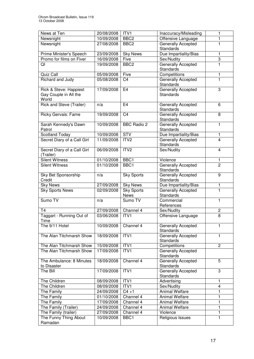| News at Ten                 | 20/08/2008 | ITV1               |                            | 1              |
|-----------------------------|------------|--------------------|----------------------------|----------------|
|                             |            |                    | Inaccuracy/Misleading      |                |
| Newsnight                   | 10/09/2008 | BBC <sub>2</sub>   | Offensive Language         | 1              |
| Newsnight                   | 27/08/2008 | BBC <sub>2</sub>   | Generally Accepted         | 1              |
|                             |            |                    | <b>Standards</b>           |                |
| Prime Minister's Speech     | 23/09/2008 | <b>Sky News</b>    | Due Impartiality/Bias      | 1              |
| Promo for films on Fiver    | 16/09/2008 | Five               | Sex/Nudity                 | 3              |
| QI                          | 19/09/2008 | BBC <sub>2</sub>   | Generally Accepted         | $\overline{1}$ |
|                             |            |                    | <b>Standards</b>           |                |
| Quiz Call                   | 05/09/2008 | Five               | Competitions               | 1              |
| Richard and Judy            | 05/08/2008 | C <sub>4</sub>     | Generally Accepted         | $\overline{1}$ |
|                             |            |                    | <b>Standards</b>           |                |
| Rick & Steve: Happiest      | 17/09/2008 | E <sub>4</sub>     | Generally Accepted         | 3              |
| Gay Couple in All the       |            |                    | <b>Standards</b>           |                |
| World                       |            |                    |                            |                |
| Rick and Steve (Trailer)    | n/a        | E <sub>4</sub>     | Generally Accepted         | 6              |
|                             |            |                    | <b>Standards</b>           |                |
| Ricky Gervais: Fame         | 19/09/2008 | C <sub>4</sub>     | Generally Accepted         | 8              |
|                             |            |                    | Standards                  |                |
| Sarah Kennedy's Dawn        | 10/09/2008 | <b>BBC Radio 2</b> | Generally Accepted         | 1              |
| Patrol                      |            |                    | <b>Standards</b>           |                |
| <b>Scotland Today</b>       | 10/09/2008 | STV                | Due Impartiality/Bias      | 1              |
| Secret Diary of a Call Girl | 11/09/2008 | ITV <sub>2</sub>   | Generally Accepted         | $\overline{4}$ |
|                             |            |                    | Standards                  |                |
| Secret Diary of a Call Girl | 06/09/2008 | ITV2               | Sex/Nudity                 | 4              |
| (Trailer)                   |            |                    |                            |                |
| <b>Silent Witness</b>       | 01/10/2008 | BBC1               | Violence                   | 1              |
| <b>Silent Witness</b>       | 01/10/2008 | BBC1               | Generally Accepted         | $\overline{2}$ |
|                             |            |                    | <b>Standards</b>           |                |
| Sky Bet Sponsorship         | n/a        | <b>Sky Sports</b>  | Generally Accepted         | $\overline{9}$ |
| Credit                      |            |                    | Standards                  |                |
| <b>Sky News</b>             | 27/09/2008 | <b>Sky News</b>    | Due Impartiality/Bias      | 1              |
| Sky Sports News             | 02/09/2008 | <b>Sky Sports</b>  | Generally Accepted         | 1              |
|                             |            | <b>News</b>        | Standards                  |                |
| Sumo TV                     | n/a        | Sumo TV            | Commercial                 | 1              |
|                             |            |                    | References                 |                |
| T <sub>4</sub>              | 27/09/2008 | Channel 4          | Sex/Nudity                 | $\overline{c}$ |
| Taggart - Running Out of    | 03/06/2008 | ITV1               | Offensive Language         | $\overline{8}$ |
| Time                        |            |                    |                            |                |
| The 9/11 Hotel              | 10/09/2008 | Channel 4          | Generally Accepted         | 1              |
|                             |            |                    | <b>Standards</b>           |                |
| The Alan Titchmarsh Show    | 18/09/2008 | ITV1               | <b>Generally Accepted</b>  | 1              |
|                             |            |                    | <b>Standards</b>           |                |
| The Alan Titchmarsh Show    | 15/09/2008 | ITV1               | Competitions               | $\overline{2}$ |
| The Alan Titchmarsh Show    | 17/09/2008 | ITV1               | Generally Accepted         |                |
|                             |            |                    | <b>Standards</b>           |                |
| The Ambulance: 8 Minutes    | 18/09/2008 | Channel 4          | Generally Accepted         | 5              |
| to Disaster                 |            |                    | Standards                  |                |
| The Bill                    | 17/09/2008 | ITV1               | Generally Accepted         | 3              |
|                             |            |                    | <b>Standards</b>           |                |
| The Children                | 08/09/2008 | ITV1               | Advertising                | 1              |
| The Children                | 08/09/2008 | ITV1               | Sex/Nudity                 | 4              |
| The Family                  | 24/09/2008 | $C4 + 1$           | <b>Animal Welfare</b>      | 1              |
| The Family                  | 01/10/2008 | Channel 4          | <b>Animal Welfare</b>      | 1              |
| The Family                  | 17/09/2008 | Channel 4          | <b>Animal Welfare</b>      | 1              |
|                             |            | Channel 4          |                            | 1              |
| The Family (Trailer)        | 24/09/2008 | Channel 4          | Animal Welfare<br>Violence | 1              |
| The Family (trailer)        | 27/09/2008 |                    |                            | 1              |
| The Funny Thing About       | 10/09/2008 | BBC1               | Religious Issues           |                |
| Ramadan                     |            |                    |                            |                |